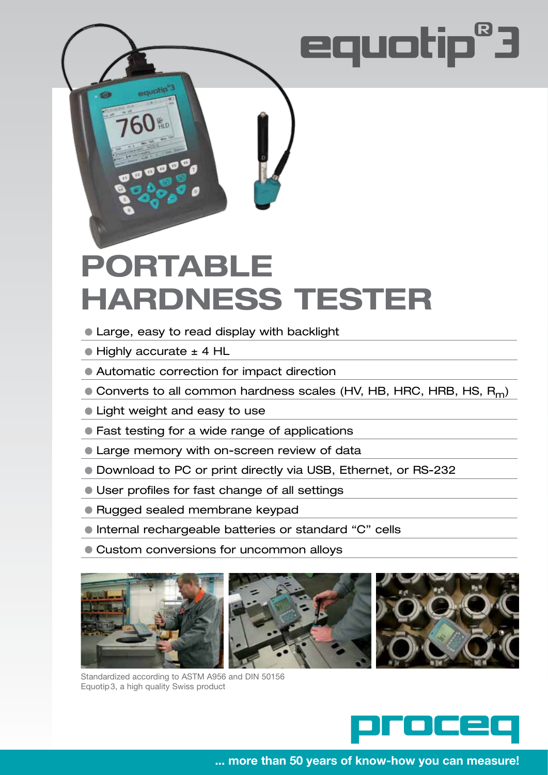# equotip®3

## **Portable Hardness Tester**

- Large, easy to read display with backlight
- Highly accurate ± 4 HL

equotip<sup>7</sup>

 $\overline{\mathbf{v}}$ 

- Automatic correction for impact direction
- $\bullet$  Converts to all common hardness scales (HV, HB, HRC, HRB, HS, R<sub>m</sub>)
- Light weight and easy to use
- Fast testing for a wide range of applications
- **Carge memory with on-screen review of data**
- Download to PC or print directly via USB, Ethernet, or RS-232
- User profiles for fast change of all settings
- Rugged sealed membrane keypad
- Internal rechargeable batteries or standard "C" cells
- Custom conversions for uncommon alloys



Standardized according to ASTM A956 and DIN 50156 Equotip3, a high quality Swiss product



**... more than 50 years of know-how you can measure!**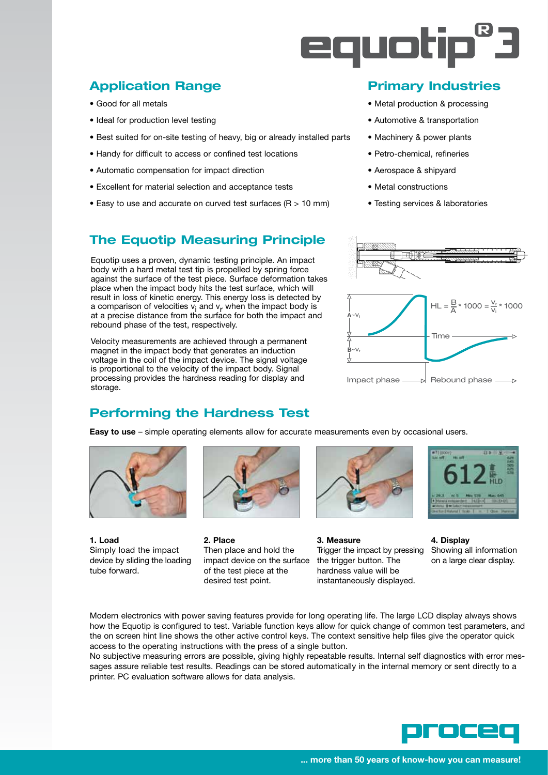

#### **Application Range**

- Good for all metals
- Ideal for production level testing
- Best suited for on-site testing of heavy, big or already installed parts
- Handy for difficult to access or confined test locations
- Automatic compensation for impact direction
- Excellent for material selection and acceptance tests
- Easy to use and accurate on curved test surfaces ( $R > 10$  mm)

#### **The Equotip Measuring Principle**

Equotip uses a proven, dynamic testing principle. An impact body with a hard metal test tip is propelled by spring force against the surface of the test piece. Surface deformation takes place when the impact body hits the test surface, which will result in loss of kinetic energy. This energy loss is detected by a comparison of velocities  $v_i$  and  $v_r$  when the impact body is at a precise distance from the surface for both the impact and rebound phase of the test, respectively.

Velocity measurements are achieved through a permanent magnet in the impact body that generates an induction voltage in the coil of the impact device. The signal voltage is proportional to the velocity of the impact body. Signal processing provides the hardness reading for display and storage.

### **Primary Industries**

- Metal production & processing
- Automotive & transportation
- Machinery & power plants
- Petro-chemical, refineries
- Aerospace & shipyard
- Metal constructions
- Testing services & laboratories



#### **Performing the Hardness Test**

**Easy to use** – simple operating elements allow for accurate measurements even by occasional users.



tube forward. **only in the test piece at the hardness value will be** the hardness value will be



desired test point. **instantaneously displayed.** 



**1. Load 2. Place 3. Measure 4. Display** Simply load the impact Then place and hold the Trigger the impact by pressing Showing all information device by sliding the loading impact device on the surface the trigger button. The on a large clear display.

Modern electronics with power saving features provide for long operating life. The large LCD display always shows how the Equotip is configured to test. Variable function keys allow for quick change of common test parameters, and the on screen hint line shows the other active control keys. The context sensitive help files give the operator quick access to the operating instructions with the press of a single button.

No subjective measuring errors are possible, giving highly repeatable results. Internal self diagnostics with error messages assure reliable test results. Readings can be stored automatically in the internal memory or sent directly to a printer. PC evaluation software allows for data analysis.

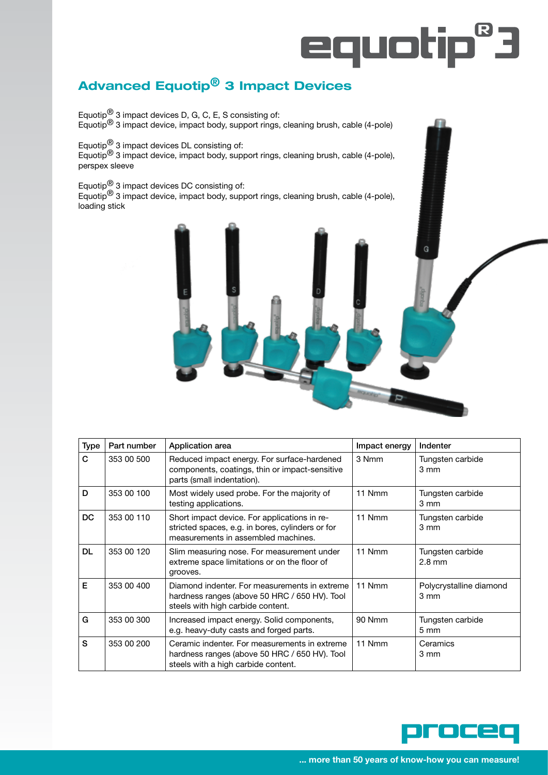# equotip<sup>8</sup>3

### **Advanced Equotip® 3 Impact Devices**

Equotip<sup>®</sup> 3 impact devices D, G, C, E, S consisting of: Equotip<sup>®</sup> 3 impact device, impact body, support rings, cleaning brush, cable (4-pole)

Equotip $^{\circledR}$  3 impact devices DL consisting of:

Equotip ${}^{\circledR}$  3 impact device, impact body, support rings, cleaning brush, cable (4-pole), perspex sleeve

Equotip ${}^{\circledR}$  3 impact devices DC consisting of:

Equotip ${}^{\circledR}$  3 impact device, impact body, support rings, cleaning brush, cable (4-pole), loading stick



| <b>Type</b> | Part number | Application area                                                                                                                        | Impact energy | Indenter                                    |
|-------------|-------------|-----------------------------------------------------------------------------------------------------------------------------------------|---------------|---------------------------------------------|
| C           | 353 00 500  | Reduced impact energy. For surface-hardened<br>components, coatings, thin or impact-sensitive<br>parts (small indentation).             | 3 Nmm         | Tungsten carbide<br>$3 \text{ mm}$          |
| D           | 353 00 100  | Most widely used probe. For the majority of<br>testing applications.                                                                    | 11 Nmm        | Tungsten carbide<br>3 mm                    |
| <b>DC</b>   | 353 00 110  | Short impact device. For applications in re-<br>stricted spaces, e.g. in bores, cylinders or for<br>measurements in assembled machines. | 11 Nmm        | Tungsten carbide<br>$3 \, \text{mm}$        |
| <b>DL</b>   | 353 00 120  | Slim measuring nose. For measurement under<br>extreme space limitations or on the floor of<br>grooves.                                  | 11 Nmm        | Tungsten carbide<br>$2.8 \text{ mm}$        |
| E           | 353 00 400  | Diamond indenter. For measurements in extreme<br>hardness ranges (above 50 HRC / 650 HV). Tool<br>steels with high carbide content.     | 11 Nmm        | Polycrystalline diamond<br>$3 \, \text{mm}$ |
| G           | 353 00 300  | Increased impact energy. Solid components,<br>e.g. heavy-duty casts and forged parts.                                                   | <b>90 Nmm</b> | Tungsten carbide<br>$5 \text{ mm}$          |
| S           | 353 00 200  | Ceramic indenter. For measurements in extreme<br>hardness ranges (above 50 HRC / 650 HV). Tool<br>steels with a high carbide content.   | 11 Nmm        | Ceramics<br>3 mm                            |

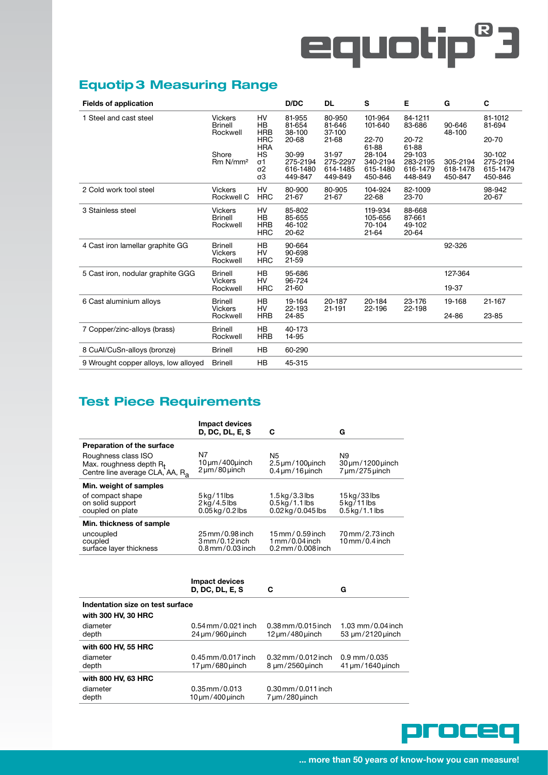# equotip<sup>8</sup>3

#### **Equotip3 Measuring Range**

| <b>Fields of application</b>         |                                              |                                                 | D/DC                                     | <b>DL</b>                                | S                                         | Е                                         | G                               | C                                         |
|--------------------------------------|----------------------------------------------|-------------------------------------------------|------------------------------------------|------------------------------------------|-------------------------------------------|-------------------------------------------|---------------------------------|-------------------------------------------|
| 1 Steel and cast steel               | <b>Vickers</b><br><b>Brinell</b><br>Rockwell | HV<br><b>HB</b><br><b>HRB</b>                   | 81-955<br>81-654<br>38-100               | 80-950<br>81-646<br>37-100               | 101-964<br>101-640                        | 84-1211<br>83-686                         | 90-646<br>48-100                | 81-1012<br>81-694                         |
|                                      |                                              | <b>HRC</b><br><b>HRA</b>                        | $20 - 68$                                | $21 - 68$                                | 22-70<br>61-88                            | 20-72<br>61-88                            |                                 | 20-70                                     |
|                                      | Shore<br>Rm N/mm <sup>2</sup>                | HS<br>σ1<br>$\sigma$ <sub>2</sub><br>$\sigma$ 3 | 30-99<br>275-2194<br>616-1480<br>449-847 | 31-97<br>275-2297<br>614-1485<br>449-849 | 28-104<br>340-2194<br>615-1480<br>450-846 | 29-103<br>283-2195<br>616-1479<br>448-849 | 305-2194<br>618-1478<br>450-847 | 30-102<br>275-2194<br>615-1479<br>450-846 |
| 2 Cold work tool steel               | <b>Vickers</b><br>Rockwell C                 | HV<br><b>HRC</b>                                | 80-900<br>21-67                          | 80-905<br>21-67                          | 104-924<br>$22 - 68$                      | 82-1009<br>23-70                          |                                 | 98-942<br>20-67                           |
| 3 Stainless steel                    | <b>Vickers</b><br><b>Brinell</b><br>Rockwell | HV<br>HB<br><b>HRB</b><br><b>HRC</b>            | 85-802<br>85-655<br>46-102<br>$20 - 62$  |                                          | 119-934<br>105-656<br>70-104<br>21-64     | 88-668<br>87-661<br>49-102<br>$20 - 64$   |                                 |                                           |
| 4 Cast iron lamellar graphite GG     | <b>Brinell</b><br><b>Vickers</b><br>Rockwell | <b>HB</b><br>HV<br><b>HRC</b>                   | 90-664<br>90-698<br>21-59                |                                          |                                           |                                           | 92-326                          |                                           |
| 5 Cast iron, nodular graphite GGG    | <b>Brinell</b><br><b>Vickers</b><br>Rockwell | <b>HB</b><br><b>HV</b><br><b>HRC</b>            | 95-686<br>96-724<br>21-60                |                                          |                                           |                                           | 127-364<br>19-37                |                                           |
| 6 Cast aluminium alloys              | <b>Brinell</b><br><b>Vickers</b><br>Rockwell | <b>HB</b><br>HV<br><b>HRB</b>                   | 19-164<br>22-193<br>24-85                | 20-187<br>21-191                         | 20-184<br>22-196                          | 23-176<br>22-198                          | 19-168<br>24-86                 | 21-167<br>23-85                           |
| 7 Copper/zinc-alloys (brass)         | <b>Brinell</b><br>Rockwell                   | <b>HB</b><br><b>HRB</b>                         | 40-173<br>14-95                          |                                          |                                           |                                           |                                 |                                           |
| 8 CuAl/CuSn-alloys (bronze)          | <b>Brinell</b>                               | <b>HB</b>                                       | 60-290                                   |                                          |                                           |                                           |                                 |                                           |
| 9 Wrought copper alloys, low alloyed | <b>Brinell</b>                               | HB                                              | 45-315                                   |                                          |                                           |                                           |                                 |                                           |

### **Test Piece Requirements**

|                                                                                                           | <b>Impact devices</b><br><b>D. DC. DL. E. S</b>                           | C                                                                          | G                                                                 |
|-----------------------------------------------------------------------------------------------------------|---------------------------------------------------------------------------|----------------------------------------------------------------------------|-------------------------------------------------------------------|
| <b>Preparation of the surface</b>                                                                         |                                                                           |                                                                            |                                                                   |
| Roughness class ISO<br>Max. roughness depth R <sub>t</sub><br>Centre line average CLA, AA, R <sub>a</sub> | N7<br>$10 \mu m/400 \mu$ inch<br>$2 \mu m / 80 \mu n$ ch                  | N5<br>$2.5 \mu m/100$ unch<br>$0.4 \mu m/16 \mu n$ ch                      | N9<br>$30 \mu m/1200 \mu$ inch<br>7 um/275 uinch                  |
| Min. weight of samples                                                                                    |                                                                           |                                                                            |                                                                   |
| of compact shape<br>on solid support<br>coupled on plate                                                  | $5$ kg/11lbs<br>$2 \overline{\text{kg}}$ /4.5 lbs<br>$0.05$ kg/ $0.2$ lbs | $1.5$ kg/ $3.3$ lbs<br>$0.5$ kg $/1.1$ lbs<br>0.02 kg/0.045 lbs            | 15kg/33lbs<br>$5 \text{kg}/11 \text{ lbs}$<br>$0.5$ kg $/1.1$ lbs |
| Min. thickness of sample                                                                                  |                                                                           |                                                                            |                                                                   |
| uncoupled<br>coupled<br>surface layer thickness                                                           | 25 mm / 0.98 inch<br>$3mm/0.12$ inch<br>$0.8$ mm $/0.03$ inch             | $15$ mm / 0.59 inch<br>$1 \text{mm} / 0.04$ inch<br>$0.2$ mm $/0.008$ inch | 70 mm/2.73 inch<br>$10$ mm/0.4 inch                               |
|                                                                                                           |                                                                           |                                                                            |                                                                   |

|                                                         | Impact devices<br><b>D. DC. DL. E. S.</b>                    | C                                                                       | G                                             |
|---------------------------------------------------------|--------------------------------------------------------------|-------------------------------------------------------------------------|-----------------------------------------------|
| Indentation size on test surface<br>with 300 HV, 30 HRC |                                                              |                                                                         |                                               |
| diameter<br>depth                                       | $0.54 \,\mathrm{mm} / 0.021$ inch<br>$24 \mu m/960 \mu$ inch | $0.38$ mm/0.015 inch<br>$12 \mu m / 480 \mu n$ ch                       | 1.03 mm/0.04 inch<br>$53 \mu m/2120 \mu$ inch |
| with 600 HV, 55 HRC                                     |                                                              |                                                                         |                                               |
| diameter<br>depth                                       | $0.45$ mm/0.017 inch<br>$17 \mu m/680 \mu$ inch              | $0.32 \,\mathrm{mm} / 0.012 \,\mathrm{inch}$<br>$8 \mu m/2560 \mu$ inch | $0.9$ mm/0.035<br>41 um/1640 uinch            |
| with 800 HV, 63 HRC                                     |                                                              |                                                                         |                                               |
| diameter<br>depth                                       | $0.35$ mm/ $0.013$<br>$10 \mu m / 400 \mu$ inch              | $0.30$ mm $/0.011$ inch<br>7 um/280 uinch                               |                                               |

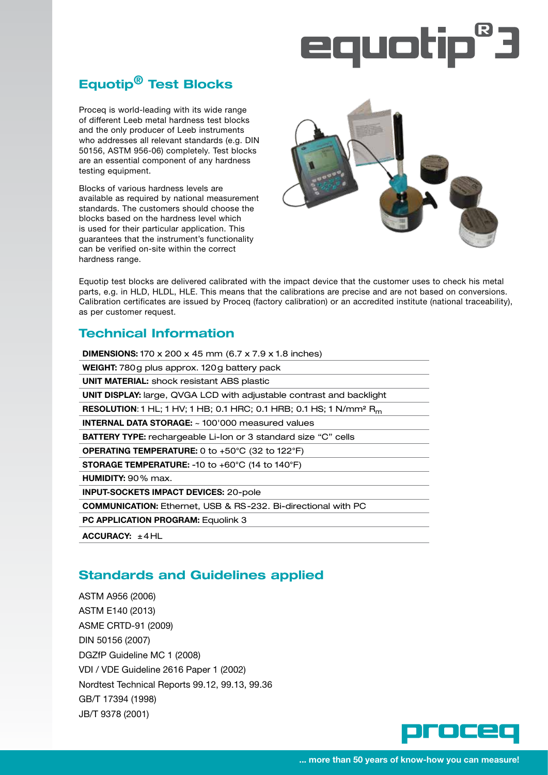# equotip®

### **Equotip® Test Blocks**

Proceq is world-leading with its wide range of different Leeb metal hardness test blocks and the only producer of Leeb instruments who addresses all relevant standards (e.g. DIN 50156, ASTM 956-06) completely. Test blocks are an essential component of any hardness testing equipment.

Blocks of various hardness levels are available as required by national measurement standards. The customers should choose the blocks based on the hardness level which is used for their particular application. This guarantees that the instrument's functionality can be verified on-site within the correct hardness range.



Equotip test blocks are delivered calibrated with the impact device that the customer uses to check his metal parts, e.g. in HLD, HLDL, HLE. This means that the calibrations are precise and are not based on conversions. Calibration certificates are issued by Proceq (factory calibration) or an accredited institute (national traceability), as per customer request.

#### **Technical Information**

| <b>DIMENSIONS:</b> 170 x 200 x 45 mm (6.7 x 7.9 x 1.8 inches)                                     |
|---------------------------------------------------------------------------------------------------|
| <b>WEIGHT:</b> 780g plus approx. 120g battery pack                                                |
| <b>UNIT MATERIAL:</b> shock resistant ABS plastic                                                 |
| <b>UNIT DISPLAY:</b> large, QVGA LCD with adjustable contrast and backlight                       |
| <b>RESOLUTION:</b> 1 HL; 1 HV; 1 HB; 0.1 HRC; 0.1 HRB; 0.1 HS; 1 N/mm <sup>2</sup> R <sub>m</sub> |
| <b>INTERNAL DATA STORAGE:</b> ~ 100'000 measured values                                           |
| <b>BATTERY TYPE:</b> rechargeable Li-lon or 3 standard size "C" cells                             |
| <b>OPERATING TEMPERATURE:</b> 0 to $+50^{\circ}$ C (32 to 122 $^{\circ}$ F)                       |
| <b>STORAGE TEMPERATURE: -10 to +60°C (14 to 140°F)</b>                                            |
| <b>HUMIDITY:</b> 90 $%$ max.                                                                      |
| <b>INPUT-SOCKETS IMPACT DEVICES: 20-pole</b>                                                      |
| <b>COMMUNICATION: Ethernet, USB &amp; RS-232. Bi-directional with PC</b>                          |
| <b>PC APPLICATION PROGRAM: Equolink 3</b>                                                         |
| ACCURACY: $\pm$ 4HL                                                                               |

#### **Standards and Guidelines applied**

ASTM A956 (2006) ASTM E140 (2013) ASME CRTD-91 (2009) DIN 50156 (2007) DGZfP Guideline MC 1 (2008) VDI / VDE Guideline 2616 Paper 1 (2002) Nordtest Technical Reports 99.12, 99.13, 99.36 GB/T 17394 (1998) JB/T 9378 (2001)